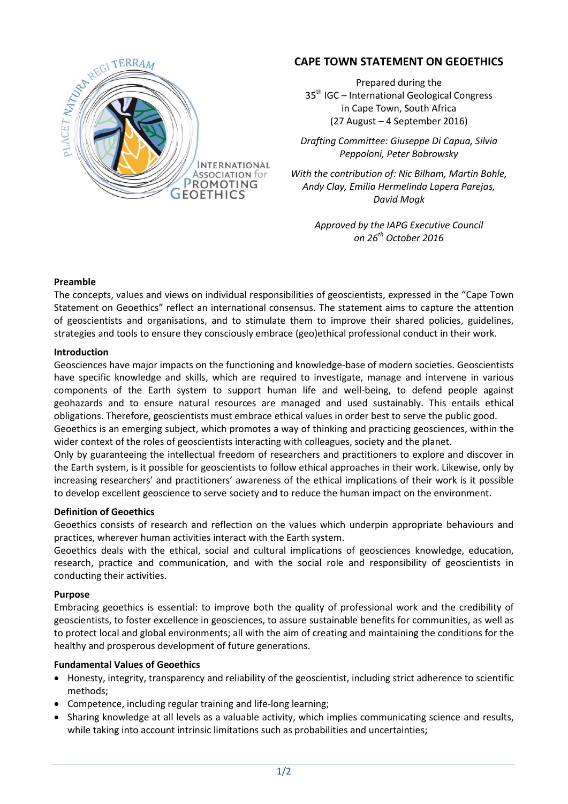

# **CAPE TOWN STATEMENT ON GEOETHICS**

Prepared during the 35<sup>th</sup> IGC – International Geological Congress in Cape Town, South Africa (27 August – 4 September 2016)

*Drafting Committee: Giuseppe Di Capua, Silvia Peppoloni, Peter Bobrowsky*

*With the contribution of: Nic Bilham, Martin Bohle, Andy Clay, Emilia Hermelinda Lopera Parejas, David Mogk*

> *Approved by the IAPG Executive Council on 26th October 2016*

## **Preamble**

The concepts, values and views on individual responsibilities of geoscientists, expressed in the "Cape Town Statement on Geoethics" reflect an international consensus. The statement aims to capture the attention of geoscientists and organisations, and to stimulate them to improve their shared policies, guidelines, strategies and tools to ensure they consciously embrace (geo)ethical professional conduct in their work.

#### **Introduction**

Geosciences have major impacts on the functioning and knowledge-base of modern societies. Geoscientists have specific knowledge and skills, which are required to investigate, manage and intervene in various components of the Earth system to support human life and well-being, to defend people against geohazards and to ensure natural resources are managed and used sustainably. This entails ethical obligations. Therefore, geoscientists must embrace ethical values in order best to serve the public good.

Geoethics is an emerging subject, which promotes a way of thinking and practicing geosciences, within the wider context of the roles of geoscientists interacting with colleagues, society and the planet.

Only by guaranteeing the intellectual freedom of researchers and practitioners to explore and discover in the Earth system, is it possible for geoscientists to follow ethical approaches in their work. Likewise, only by increasing researchers' and practitioners' awareness of the ethical implications of their work is it possible to develop excellent geoscience to serve society and to reduce the human impact on the environment.

#### **Definition of Geoethics**

Geoethics consists of research and reflection on the values which underpin appropriate behaviours and practices, wherever human activities interact with the Earth system.

Geoethics deals with the ethical, social and cultural implications of geosciences knowledge, education, research, practice and communication, and with the social role and responsibility of geoscientists in conducting their activities.

#### **Purpose**

Embracing geoethics is essential: to improve both the quality of professional work and the credibility of geoscientists, to foster excellence in geosciences, to assure sustainable benefits for communities, as well as to protect local and global environments; all with the aim of creating and maintaining the conditions for the healthy and prosperous development of future generations.

## **Fundamental Values of Geoethics**

- Honesty, integrity, transparency and reliability of the geoscientist, including strict adherence to scientific methods;
- Competence, including regular training and life-long learning;
- Sharing knowledge at all levels as a valuable activity, which implies communicating science and results, while taking into account intrinsic limitations such as probabilities and uncertainties;